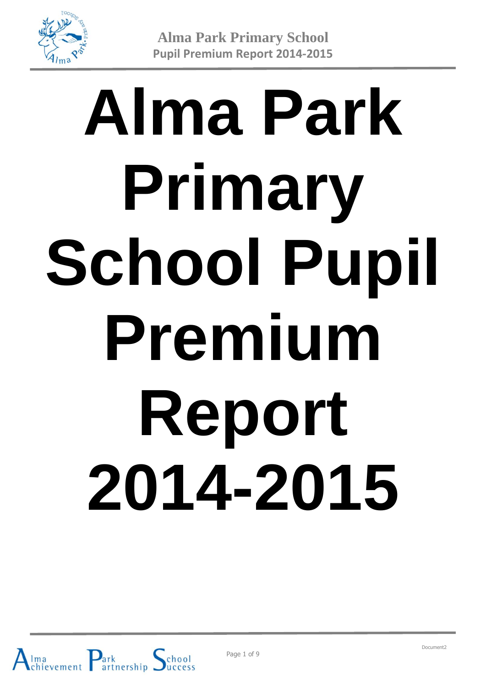

**Alma Park Primary School Pupil Premium Report 2014-2015**

# **Alma Park Primary School Pupil Premium Report 2014-2015**

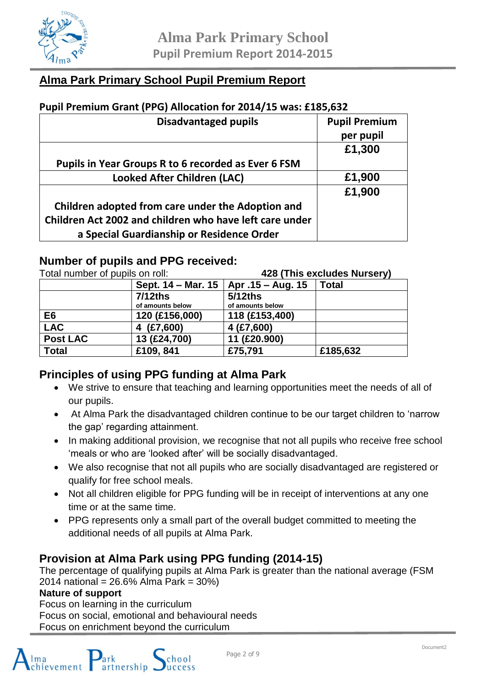

# **Alma Park Primary School Pupil Premium Report**

## **Pupil Premium Grant (PPG) Allocation for 2014/15 was: £185,632**

| <b>Disadvantaged pupils</b>                                | <b>Pupil Premium</b> |
|------------------------------------------------------------|----------------------|
|                                                            |                      |
|                                                            | per pupil            |
|                                                            | £1,300               |
| <b>Pupils in Year Groups R to 6 recorded as Ever 6 FSM</b> |                      |
| <b>Looked After Children (LAC)</b>                         | £1,900               |
|                                                            | £1,900               |
| Children adopted from care under the Adoption and          |                      |
| Children Act 2002 and children who have left care under    |                      |
| a Special Guardianship or Residence Order                  |                      |

### **Number of pupils and PPG received:**

| Total number of pupils on roll: |                                        | 428 (This excludes Nursery) |              |
|---------------------------------|----------------------------------------|-----------------------------|--------------|
|                                 | Sept. 14 – Mar. 15   Apr. 15 – Aug. 15 |                             | <b>Total</b> |
|                                 | 7/12ths<br>of amounts below            | 5/12ths<br>of amounts below |              |
| E <sub>6</sub>                  | 120 (£156,000)                         | 118 (£153,400)              |              |
| <b>LAC</b>                      | (E7,600)                               | 4 (£7,600)                  |              |
| <b>Post LAC</b>                 | 13 (£24,700)                           | 11 (£20.900)                |              |
| <b>Total</b>                    | £109, 841                              | £75,791                     | £185,632     |

## **Principles of using PPG funding at Alma Park**

- We strive to ensure that teaching and learning opportunities meet the needs of all of our pupils.
- At Alma Park the disadvantaged children continue to be our target children to 'narrow the gap' regarding attainment.
- In making additional provision, we recognise that not all pupils who receive free school 'meals or who are 'looked after' will be socially disadvantaged.
- We also recognise that not all pupils who are socially disadvantaged are registered or qualify for free school meals.
- Not all children eligible for PPG funding will be in receipt of interventions at any one time or at the same time.
- PPG represents only a small part of the overall budget committed to meeting the additional needs of all pupils at Alma Park.

# **Provision at Alma Park using PPG funding (2014-15)**

The percentage of qualifying pupils at Alma Park is greater than the national average (FSM 2014 national = 26.6% Alma Park = 30%) **Nature of support** Focus on learning in the curriculum

Focus on social, emotional and behavioural needs Focus on enrichment beyond the curriculum

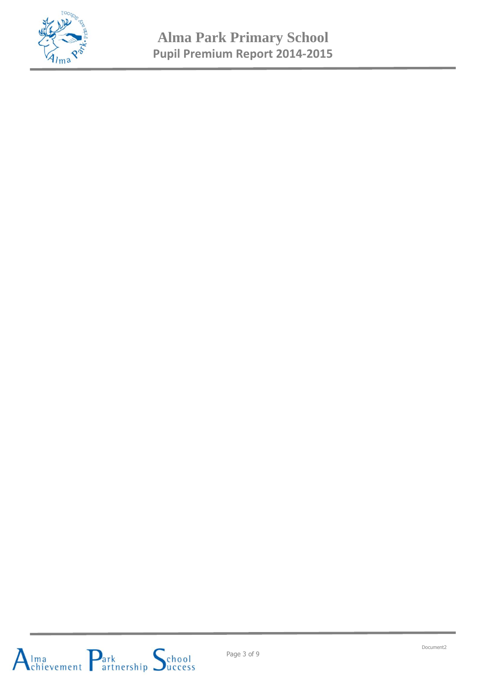

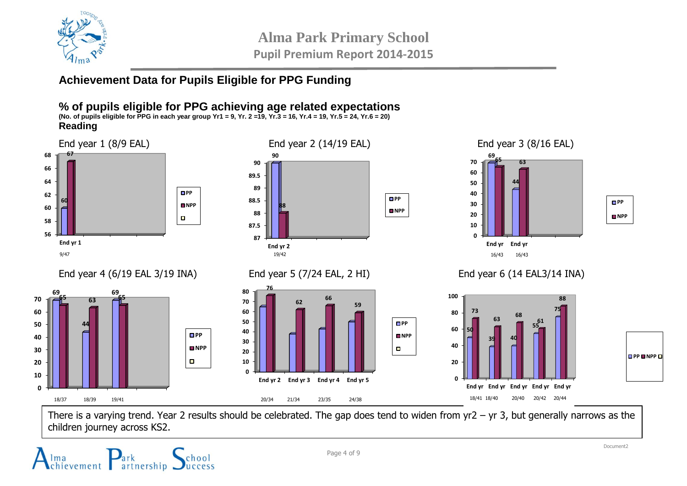

**Alma Park Primary School Pupil Premium Report 2014-2015**

# **Achievement Data for Pupils Eligible for PPG Funding**

# **% of pupils eligible for PPG achieving age related expectations**

**(No. of pupils eligible for PPG in each year group Yr1 = 9, Yr. 2 =19, Yr.3 = 16, Yr.4 = 19, Yr.5 = 24, Yr.6 = 20) Reading** 



There is a varying trend. Year 2 results should be celebrated. The gap does tend to widen from yr2 – yr 3, but generally narrows as the children journey across KS2.

 $lma$ artnership chievement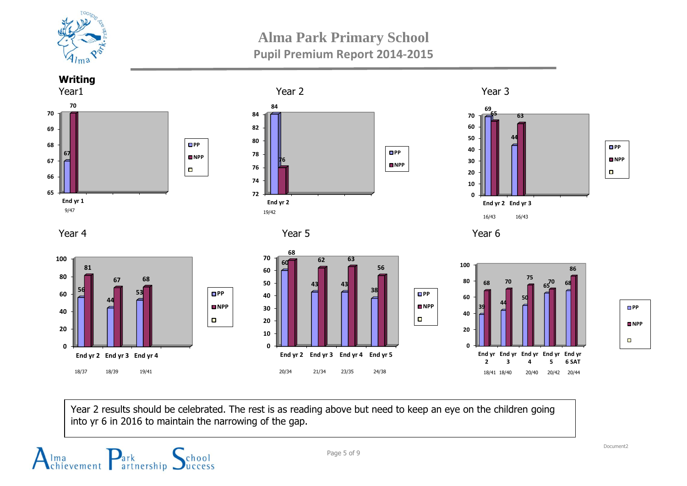

# **Alma Park Primary School Pupil Premium Report 2014-2015**



Year 2 results should be celebrated. The rest is as reading above but need to keep an eye on the children going into yr 6 in 2016 to maintain the narrowing of the gap.

chool<br>uccess

Ima<br>
schievement artnership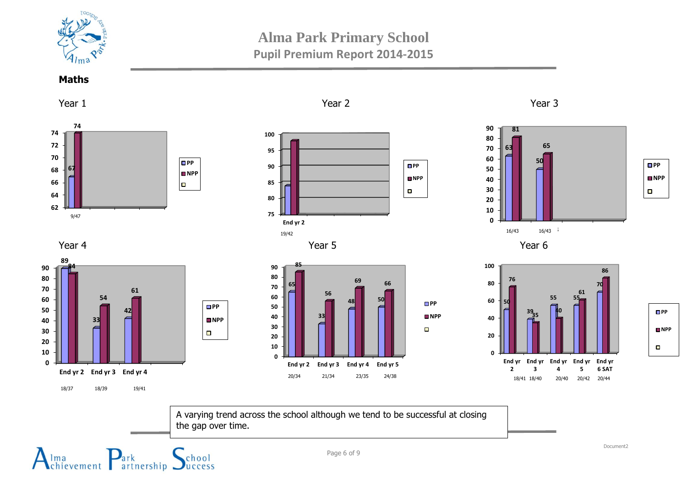

Ima<br>
chievement artnership

chool uccess

# **Alma Park Primary School Pupil Premium Report 2014-2015**

**Maths**



A varying trend across the school although we tend to be successful at closing the gap over time.

**PP NPP**

**PP NPP**

 $\blacksquare$ 

 $\blacksquare$ 

Document2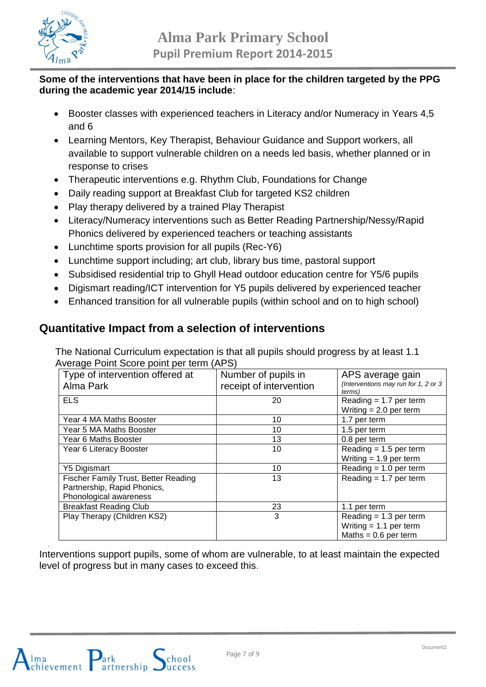

#### **Some of the interventions that have been in place for the children targeted by the PPG during the academic year 2014/15 include**:

- Booster classes with experienced teachers in Literacy and/or Numeracy in Years 4,5 and 6
- Learning Mentors, Key Therapist, Behaviour Guidance and Support workers, all available to support vulnerable children on a needs led basis, whether planned or in response to crises
- Therapeutic interventions e.g. Rhythm Club, Foundations for Change
- Daily reading support at Breakfast Club for targeted KS2 children
- Play therapy delivered by a trained Play Therapist
- Literacy/Numeracy interventions such as Better Reading Partnership/Nessy/Rapid Phonics delivered by experienced teachers or teaching assistants
- Lunchtime sports provision for all pupils (Rec-Y6)
- Lunchtime support including; art club, library bus time, pastoral support
- Subsidised residential trip to Ghyll Head outdoor education centre for Y5/6 pupils
- Digismart reading/ICT intervention for Y5 pupils delivered by experienced teacher
- Enhanced transition for all vulnerable pupils (within school and on to high school)

## **Quantitative Impact from a selection of interventions**

The National Curriculum expectation is that all pupils should progress by at least 1.1 Average Point Score point per term (APS)

| Type of intervention offered at<br>Alma Park                                                  | Number of pupils in<br>receipt of intervention | APS average gain<br>(Interventions may run for 1, 2 or 3<br>terms)             |
|-----------------------------------------------------------------------------------------------|------------------------------------------------|--------------------------------------------------------------------------------|
| <b>ELS</b>                                                                                    | 20                                             | Reading $= 1.7$ per term<br>Writing $= 2.0$ per term                           |
| Year 4 MA Maths Booster                                                                       | 10                                             | 1.7 per term                                                                   |
| Year 5 MA Maths Booster                                                                       | 10                                             | 1.5 per term                                                                   |
| Year 6 Maths Booster                                                                          | 13                                             | 0.8 per term                                                                   |
| Year 6 Literacy Booster                                                                       | 10                                             | Reading $= 1.5$ per term<br>Writing $= 1.9$ per term                           |
| <b>Y5 Digismart</b>                                                                           | 10                                             | Reading $= 1.0$ per term                                                       |
| Fischer Family Trust, Better Reading<br>Partnership, Rapid Phonics,<br>Phonological awareness | 13                                             | Reading $= 1.7$ per term                                                       |
| <b>Breakfast Reading Club</b>                                                                 | 23                                             | 1.1 per term                                                                   |
| Play Therapy (Children KS2)                                                                   | 3                                              | Reading $= 1.3$ per term<br>Writing $= 1.1$ per term<br>Maths = $0.6$ per term |

Interventions support pupils, some of whom are vulnerable, to at least maintain the expected level of progress but in many cases to exceed this.



.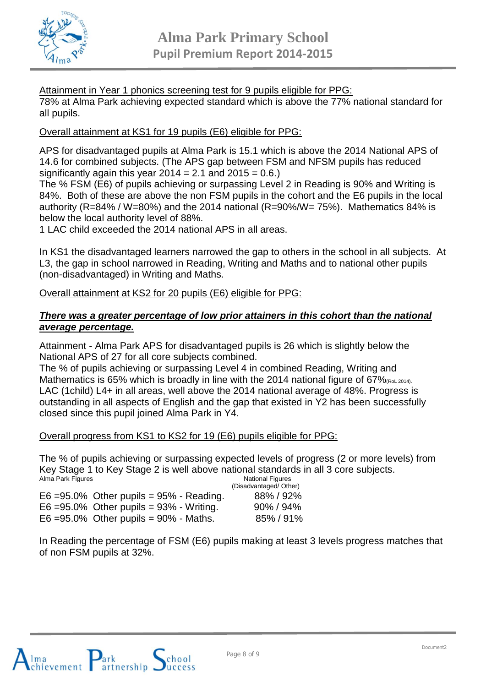

#### Attainment in Year 1 phonics screening test for 9 pupils eligible for PPG:

78% at Alma Park achieving expected standard which is above the 77% national standard for all pupils.

#### Overall attainment at KS1 for 19 pupils (E6) eligible for PPG:

APS for disadvantaged pupils at Alma Park is 15.1 which is above the 2014 National APS of 14.6 for combined subjects. (The APS gap between FSM and NFSM pupils has reduced significantly again this year  $2014 = 2.1$  and  $2015 = 0.6$ .)

The % FSM (E6) of pupils achieving or surpassing Level 2 in Reading is 90% and Writing is 84%. Both of these are above the non FSM pupils in the cohort and the E6 pupils in the local authority (R=84% / W=80%) and the 2014 national (R=90%/W= 75%). Mathematics 84% is below the local authority level of 88%.

1 LAC child exceeded the 2014 national APS in all areas.

In KS1 the disadvantaged learners narrowed the gap to others in the school in all subjects. At L3, the gap in school narrowed in Reading, Writing and Maths and to national other pupils (non-disadvantaged) in Writing and Maths.

Overall attainment at KS2 for 20 pupils (E6) eligible for PPG:

#### *There was a greater percentage of low prior attainers in this cohort than the national average percentage.*

Attainment - Alma Park APS for disadvantaged pupils is 26 which is slightly below the National APS of 27 for all core subjects combined.

The % of pupils achieving or surpassing Level 4 in combined Reading, Writing and Mathematics is 65% which is broadly in line with the 2014 national figure of 67% (RoL 2014). LAC (1child) L4+ in all areas, well above the 2014 national average of 48%. Progress is outstanding in all aspects of English and the gap that existed in Y2 has been successfully closed since this pupil joined Alma Park in Y4.

#### Overall progress from KS1 to KS2 for 19 (E6) pupils eligible for PPG:

The % of pupils achieving or surpassing expected levels of progress (2 or more levels) from Key Stage 1 to Key Stage 2 is well above national standards in all 3 core subjects.<br>Alma Park Figures<br>National Figures Alma Park Figures

|                                             | (Disadvantaged/ Other) |
|---------------------------------------------|------------------------|
| $E6 = 95.0\%$ Other pupils = 95% - Reading. | 88% / 92%              |
| $E6 = 95.0\%$ Other pupils = 93% - Writing. | 90% / 94%              |
| $E6 = 95.0\%$ Other pupils = 90% - Maths.   | 85%/91%                |

In Reading the percentage of FSM (E6) pupils making at least 3 levels progress matches that of non FSM pupils at 32%.